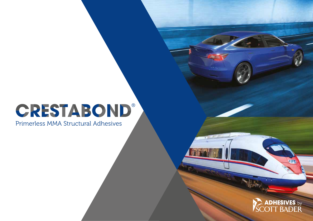# **CRESTABOND®**

Primerless MMA Structural Adhesives



 $-0.7$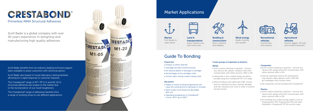Scott Bader is a global company with over 40 years experience in designing and manufacturing high quality adhesives.

Marine from kayaks to super yachts



Wind energy blades, housing and nacelles

Land & transportation buses, coaches, cars, trains and trucks





Recreational vehicles motorhomes and caravans

Building & construction doors, windows and cladding

- 
- ► Cartridge has been stored correctly
- 
- 
- 
- 
- 
- ► Higher or lower working temperatures will cause the working time to decrease or increase
- 
- Static mixers must always be discarded
- after use
- Operating temperature of Crestabond ® is from -40°C up to 100°C
- 



Agricultural vehicles

tractors, diggers, off-road and combine harvesters

### Check first

- $\blacktriangleright$  Product is within shelf life
- ▶ No obvious defect or damage to cartridge
- ▶ No blockages at the cartridge outlet
- ► Correct static mixing nozzle is being used
- $\triangleright$  Some surface cleaning is required remove any obvious dirt, grease, oxidation and other contaminates with either acetone, MEK or IPA
- Galvanised or zinc coated metals should be bonded using the Crestabond ® M7 (1:1) range
- When bonding cold rolled steel (CRS), ensure that the substrate has been cleaned, abraded and then cleaned once more in order to achieve the best results

### **Composites**

### Key points

- $\triangleright$  Some surface cleaning is required remove any obvious dirt, grease and other contaminates with either acetone, MEK or IPA
- Gelcoat substrates need to be cleaned and may require a light abrasion with a 100-140 grit sandpaper and a further clean
- All composites can be bonded with Crestabond ®

- $\triangleright$  Some surface cleaning is required remove any obvious dirt, grease and other contaminates with either acetone, MEK or IPA
- ► For bonding low surface energy plastics such as Polypropylene (PP), Polyethylene (PE) and other Polyolefins, Crestabond ® PP-04 must be used

### 3 main groups of substrates to bond to:

#### Metals

to the incorporation of our novel tougheners. The Crestabond ® range of M7 / PP (1:1) and M1 (10:1) structural adhesives are unique to the market due

### Plastics

Scott Bader benefits from an industry leading technical support team available to assist customers with technical advice.

Scott Bader also boasts in house laboratory testing facilities allowing for a rapid response to customer requests.

The Crestabond ® range of adhesives benefits from a range of working times to suit different applications.



# Guide To Bonding

# Market Applications







Primerless MMA Structural Adhesives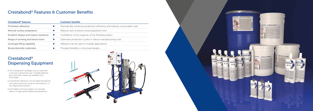# Crestabond® Features & Customer Benefits

# Crestabond® Dispensing Equipment

- ▶ The Crestabond® cartridges can be used with a manual or pneumatic gun. Suitable dispense guns and static mixers are available from Scott Bader
- ► Crestabond® adhesives can be dispensed directly from pails and drums using an automated 1:1 or 10:1 dispensing machine
- Scott Bader technical support can provide advice on appropriate dispensing equipment





| Crestabond <sup>®</sup> features        |   | <b>Customer benefits</b>                                                 |
|-----------------------------------------|---|--------------------------------------------------------------------------|
| <b>Primerless adhesives</b>             |   | Dramatically enhances production efficiency and reduces consumable costs |
| Minimal surface preparation             |   | Reduces dust emissions and preparation time                              |
| Excellent fatigue and impact resistance | ▶ | Confidence in the longevity of the finished product                      |
| Range of working and fixture times      |   | Optimises production cycles to reduce manufacturing costs                |
| Good gap filling capability             |   | Adhesive can be used in multiple applications                            |
| <b>Bonds dissimilar substrates</b>      |   | Provides flexibility in structural designs                               |

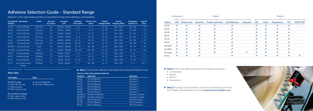# Adhesive Selection Guide - Standard Range

Selection of the appropriate product is essential for long-term adhesion and durability.

- ▶ Composites
- ▶ Metals
- $\blacktriangleright$  Plastics
- Galvanised

Step 3 Arrange a demonstration or trial by contacting your local Scott Bader representative or email enquiries@scottbader.com



| Crestabond <sup>®</sup> Description<br>Product |                                     | Colour    | Mix ratio<br>by volume | <b>Viscosity</b><br>(CP) | <b>Working</b><br>Time (mins) | *Fixture Time<br>(mins) | <b>Tensile</b><br>Strength (MPa) | <b>Tensile</b><br><b>Modulus (MPa)</b> | <b>Elongation</b><br>at break (%) | <b>Gap Fill</b><br>(mm) |
|------------------------------------------------|-------------------------------------|-----------|------------------------|--------------------------|-------------------------------|-------------------------|----------------------------------|----------------------------------------|-----------------------------------|-------------------------|
| M1-02                                          | Universal Bonder                    | Dark Grey | 10:1                   | 100,000 - 140,000        | $1 - 2$                       | $2 - 3$                 | $12 - 16$                        | $600 - 1000$                           | $80 - 100$                        | $1 - 15$                |
| M <sub>1</sub> -04                             | Universal Bonder                    | Dark Grey | 10:1                   | 100,000 - 140,000        | $3 - 5$                       | $8 - 10$                | $16 - 20$                        | $600 - 1000$                           | $80 - 100$                        | $1 - 15$                |
| $M1-05$                                        | Universal Bonder                    | Dark Grey | 10:1                   | 100.000 - 140.000        | $4 - 7$                       | $12 - 18$               | $16 - 20$                        | $600 - 1000$                           | $80 - 100$                        | $1 - 15$                |
| $M1-10$                                        | Universal Bonder                    | Dark Grey | 10:1                   | 100,000 - 140,000        | $8 - 12$                      | $16 - 23$               | $16 - 20$                        | $600 - 1000$                           | $80 - 100$                        | $1 - 15$                |
| $M1-20$                                        | Universal Bonder                    | Dark Grey | 10:1                   | 100,000 - 140,000        | $16 - 22$                     | $25 - 35$               | $16 - 20$                        | $600 - 1000$                           | $80 - 100$                        | $1 - 25$                |
| M <sub>1</sub> -30                             | Universal Bonder                    | Dark Grey | 10:1                   | $200,000 - 240,000$      | $25 - 35$                     | $60 - 80$               | $18 - 22$                        | $600 - 1000$                           | $100 - 130$                       | $1 - 50$                |
| M1-60HV                                        | Universal Bonder                    | Green     | 10:1                   | 340,000 - 380,000        | $50 - 70$                     | $150 - 180$             | $22 - 26$                        | $1200 - 1600$                          | $50 - 70$                         | $1 - 50$                |
| M1-90HV                                        | Universal Bonder                    | Green     | 10:1                   | 340,000 - 380,000        | $80 - 100$                    | $210 - 240$             | $22 - 26$                        | $1200 - 1600$                          | $50 - 70$                         | $1 - 50$                |
| M7-04                                          | Universal Bonder                    | Off White | 1:1                    | 30,000 - 70,000          | $3 - 5$                       | $12 - 15$               | $22 - 25$                        | 1200 - 1700                            | $6 - 10$                          | $1 - 5$                 |
| M7-05                                          | Universal Bonder                    | Off White | 1:1                    | 30,000 - 70,000          | $4 - 7$                       | $18 - 22$               | $22 - 25$                        | 1200 - 1700                            | $25 - 30$                         | $1 - 5$                 |
| M7-15                                          | Universal Bonder                    | Off White | 1:1                    | 30,000 - 70,000          | $10 - 20$                     | $30 - 45$               | $22 - 25$                        | 1200 - 1700                            | $25 - 30$                         | $1 - 5$                 |
| <b>PP-04</b>                                   | Low surface energy<br><b>Bonder</b> | Off White | 1:1                    | 70,000 - 140,000         | $3 - 5$                       | $165 - 180$             | $12 - 17$                        | $800 - 1200$                           | $2 - 5$                           | $0.5 - 5$               |

Based on laboratory results \*Time taken at 23oC to achieve 1.4MPA strength in lap shear tests according to BS ISO 4587

### Pack sizes

| Composites   |              |                        |              | Metals                     | Plastics                 |            |            |                |               |              |             |
|--------------|--------------|------------------------|--------------|----------------------------|--------------------------|------------|------------|----------------|---------------|--------------|-------------|
| Product      | <b>GRP</b>   | <b>Stainless Steel</b> | Aluminium    | <b>Powder Coated Steel</b> | <b>Cold Rolled Steel</b> | Galvanised | <b>ABS</b> | <b>Acrylic</b> | Polycarbonate | <b>PVC</b>   | PP/PE & TPO |
| $M1-02$      | $\checkmark$ | $\checkmark$           | $\checkmark$ |                            |                          |            |            | $\checkmark$   |               | $\checkmark$ |             |
| $M1-04$      | $\checkmark$ | $\checkmark$           | $\checkmark$ |                            |                          |            |            |                | $\checkmark$  |              |             |
| M1-05        | $\checkmark$ |                        |              |                            |                          |            |            |                |               |              |             |
| $M1-10$      | $\checkmark$ | $\checkmark$           |              |                            |                          |            |            | $\checkmark$   | $\checkmark$  |              |             |
| $M1-20$      | $\checkmark$ |                        |              |                            |                          |            |            |                |               |              |             |
| M1-30        | $\checkmark$ | ✓                      |              |                            |                          |            |            |                | $\checkmark$  |              |             |
| M1-60HV      | $\checkmark$ | ✓                      |              |                            |                          |            |            |                |               |              |             |
| M1-90HV      | $\checkmark$ | $\checkmark$           |              |                            |                          |            |            |                |               |              |             |
| M7 range     | $\checkmark$ | ✓                      |              |                            |                          |            |            |                |               |              |             |
| <b>PP-04</b> | $\checkmark$ |                        |              |                            |                          |            |            |                |               |              |             |

| <b>Cartridges</b>                                                                  | <b>Bulk</b>                                                       |
|------------------------------------------------------------------------------------|-------------------------------------------------------------------|
| $M1(10:1)$ range<br>> 50ml side-by-side<br>▶ 400ml coaxial<br>▶ 825ml side-by-side | $\triangleright$ 20 Litre/ 18kg pails<br>▶ 200 Litre/ 180kg drums |
| M7 and PP (1:1) Range<br>• 50ml side-by-side                                       |                                                                   |

▶ 400ml side-by-side

# Step 1 Choose the adhesive with optimal working and fixture times Step 2 Check the adhesive bonds the required substrates:

## How to order bulk packed materials

| <b>Product</b> | <b>Adhesive</b>             | <b>Activator</b>         |
|----------------|-----------------------------|--------------------------|
| $M1-02$        | M <sub>1</sub> -02 Adhesive | Activator 4              |
| $M1-04$        | M1-05 Adhesive              | Activator 4              |
| $M1-0.5$       | M1-05 Adhesive              | Activator 1              |
| $M1-10$        | M <sub>1</sub> -10 Adhesive | Activator 1              |
| $M1 - 20$      | M <sub>1</sub> -20 Adhesive | Activator 1              |
| $M1 - 30$      | M <sub>1</sub> -30 Adhesive | Activator 1              |
| M1-60HV        | M1-60HV Adhesive            | <b>Activator 2 Green</b> |
| M1-90HV        | M1-90HV Adhesive            | Activator 2 Green        |
| $M7 - 04$      | M7-05 Adhesive              | M7-04 Activator          |
| M7-05          | M7-05 Adhesive              | M7-05 Activator          |
| M7-15          | M7-15 Adhesive              | M7-15 Activator          |
|                |                             |                          |